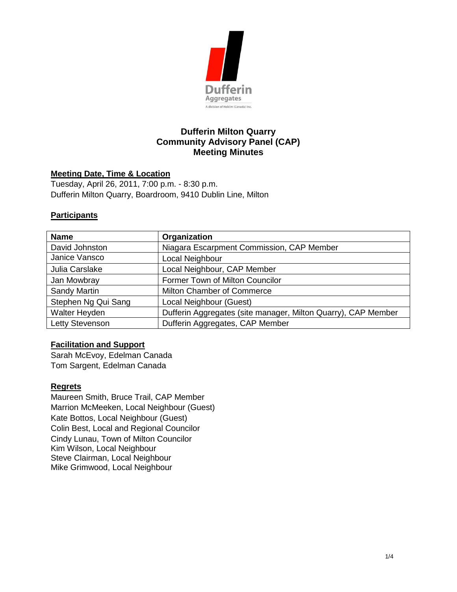

# **Dufferin Milton Quarry Community Advisory Panel (CAP) Meeting Minutes**

#### **Meeting Date, Time & Location**

Tuesday, April 26, 2011, 7:00 p.m. - 8:30 p.m. Dufferin Milton Quarry, Boardroom, 9410 Dublin Line, Milton

#### **Participants**

| <b>Name</b>         | Organization                                                  |
|---------------------|---------------------------------------------------------------|
| David Johnston      | Niagara Escarpment Commission, CAP Member                     |
| Janice Vansco       | Local Neighbour                                               |
| Julia Carslake      | Local Neighbour, CAP Member                                   |
| Jan Mowbray         | Former Town of Milton Councilor                               |
| Sandy Martin        | Milton Chamber of Commerce                                    |
| Stephen Ng Qui Sang | Local Neighbour (Guest)                                       |
| Walter Heyden       | Dufferin Aggregates (site manager, Milton Quarry), CAP Member |
| Letty Stevenson     | Dufferin Aggregates, CAP Member                               |

## **Facilitation and Support**

Sarah McEvoy, Edelman Canada Tom Sargent, Edelman Canada

#### **Regrets**

Maureen Smith, Bruce Trail, CAP Member Marrion McMeeken, Local Neighbour (Guest) Kate Bottos, Local Neighbour (Guest) Colin Best, Local and Regional Councilor Cindy Lunau, Town of Milton Councilor Kim Wilson, Local Neighbour Steve Clairman, Local Neighbour Mike Grimwood, Local Neighbour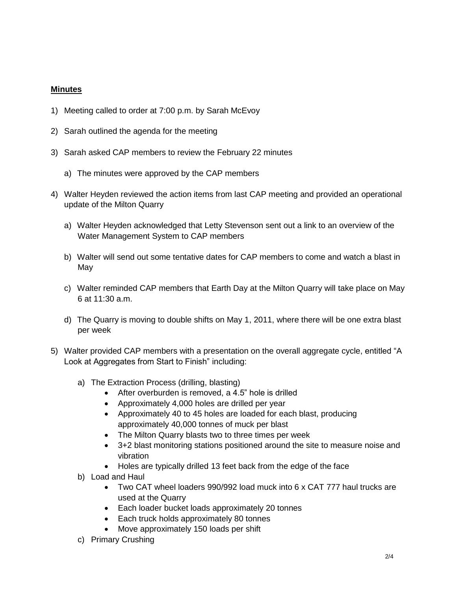## **Minutes**

- 1) Meeting called to order at 7:00 p.m. by Sarah McEvoy
- 2) Sarah outlined the agenda for the meeting
- 3) Sarah asked CAP members to review the February 22 minutes
	- a) The minutes were approved by the CAP members
- 4) Walter Heyden reviewed the action items from last CAP meeting and provided an operational update of the Milton Quarry
	- a) Walter Heyden acknowledged that Letty Stevenson sent out a link to an overview of the Water Management System to CAP members
	- b) Walter will send out some tentative dates for CAP members to come and watch a blast in May
	- c) Walter reminded CAP members that Earth Day at the Milton Quarry will take place on May 6 at 11:30 a.m.
	- d) The Quarry is moving to double shifts on May 1, 2011, where there will be one extra blast per week
- 5) Walter provided CAP members with a presentation on the overall aggregate cycle, entitled "A Look at Aggregates from Start to Finish" including:
	- a) The Extraction Process (drilling, blasting)
		- After overburden is removed, a 4.5" hole is drilled
		- Approximately 4,000 holes are drilled per year
		- Approximately 40 to 45 holes are loaded for each blast, producing approximately 40,000 tonnes of muck per blast
		- The Milton Quarry blasts two to three times per week
		- 3+2 blast monitoring stations positioned around the site to measure noise and vibration
		- Holes are typically drilled 13 feet back from the edge of the face
	- b) Load and Haul
		- Two CAT wheel loaders 990/992 load muck into 6 x CAT 777 haul trucks are used at the Quarry
		- Each loader bucket loads approximately 20 tonnes
		- Each truck holds approximately 80 tonnes
		- Move approximately 150 loads per shift
	- c) Primary Crushing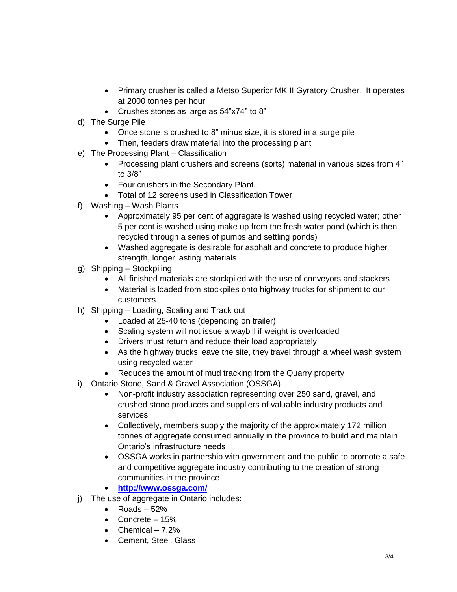- Primary crusher is called a Metso Superior MK II Gyratory Crusher. It operates at 2000 tonnes per hour
- Crushes stones as large as 54"x74" to 8"
- d) The Surge Pile
	- Once stone is crushed to 8" minus size, it is stored in a surge pile
	- Then, feeders draw material into the processing plant
- e) The Processing Plant Classification
	- Processing plant crushers and screens (sorts) material in various sizes from 4" to 3/8"
	- Four crushers in the Secondary Plant.
	- Total of 12 screens used in Classification Tower
- f) Washing Wash Plants
	- Approximately 95 per cent of aggregate is washed using recycled water; other 5 per cent is washed using make up from the fresh water pond (which is then recycled through a series of pumps and settling ponds)
	- Washed aggregate is desirable for asphalt and concrete to produce higher strength, longer lasting materials
- g) Shipping Stockpiling
	- All finished materials are stockpiled with the use of conveyors and stackers
	- Material is loaded from stockpiles onto highway trucks for shipment to our customers
- h) Shipping Loading, Scaling and Track out
	- Loaded at 25-40 tons (depending on trailer)
	- Scaling system will not issue a waybill if weight is overloaded
	- Drivers must return and reduce their load appropriately
	- As the highway trucks leave the site, they travel through a wheel wash system using recycled water
	- Reduces the amount of mud tracking from the Quarry property
- i) Ontario Stone, Sand & Gravel Association (OSSGA)
	- Non-profit industry association representing over 250 sand, gravel, and crushed stone producers and suppliers of valuable industry products and services
	- Collectively, members supply the majority of the approximately 172 million tonnes of aggregate consumed annually in the province to build and maintain Ontario's infrastructure needs
	- OSSGA works in partnership with government and the public to promote a safe and competitive aggregate industry contributing to the creation of strong communities in the province
	- **<http://www.ossga.com/>**
- j) The use of aggregate in Ontario includes:
	- $\bullet$  Roads 52%
	- $\bullet$  Concrete 15%
	- Chemical  $-7.2%$
	- Cement, Steel, Glass